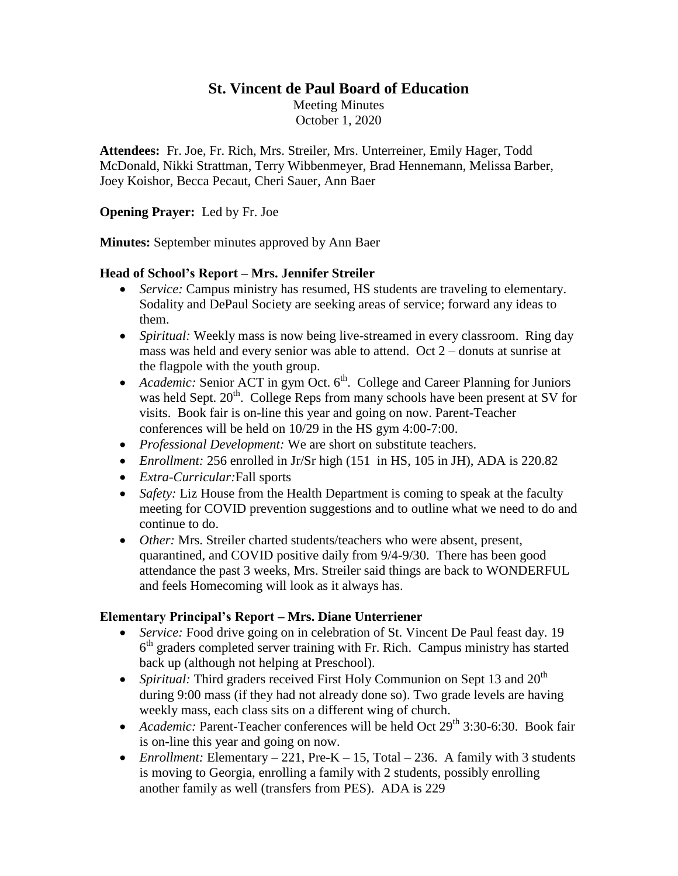# **St. Vincent de Paul Board of Education**

Meeting Minutes October 1, 2020

**Attendees:** Fr. Joe, Fr. Rich, Mrs. Streiler, Mrs. Unterreiner, Emily Hager, Todd McDonald, Nikki Strattman, Terry Wibbenmeyer, Brad Hennemann, Melissa Barber, Joey Koishor, Becca Pecaut, Cheri Sauer, Ann Baer

#### **Opening Prayer:** Led by Fr. Joe

**Minutes:** September minutes approved by Ann Baer

#### **Head of School's Report – Mrs. Jennifer Streiler**

- *Service:* Campus ministry has resumed, HS students are traveling to elementary. Sodality and DePaul Society are seeking areas of service; forward any ideas to them.
- *Spiritual:* Weekly mass is now being live-streamed in every classroom. Ring day mass was held and every senior was able to attend. Oct 2 – donuts at sunrise at the flagpole with the youth group.
- Academic: Senior ACT in gym Oct.  $6<sup>th</sup>$ . College and Career Planning for Juniors was held Sept.  $20<sup>th</sup>$ . College Reps from many schools have been present at SV for visits. Book fair is on-line this year and going on now. Parent-Teacher conferences will be held on 10/29 in the HS gym 4:00-7:00.
- *Professional Development:* We are short on substitute teachers.
- *Enrollment:* 256 enrolled in Jr/Sr high (151 in HS, 105 in JH), ADA is 220.82
- *Extra-Curricular:*Fall sports
- *Safety:* Liz House from the Health Department is coming to speak at the faculty meeting for COVID prevention suggestions and to outline what we need to do and continue to do.
- *Other:* Mrs. Streiler charted students/teachers who were absent, present, quarantined, and COVID positive daily from 9/4-9/30. There has been good attendance the past 3 weeks, Mrs. Streiler said things are back to WONDERFUL and feels Homecoming will look as it always has.

### **Elementary Principal's Report – Mrs. Diane Unterriener**

- *Service:* Food drive going on in celebration of St. Vincent De Paul feast day. 19 6<sup>th</sup> graders completed server training with Fr. Rich. Campus ministry has started back up (although not helping at Preschool).
- *Spiritual:* Third graders received First Holy Communion on Sept 13 and  $20<sup>th</sup>$ during 9:00 mass (if they had not already done so). Two grade levels are having weekly mass, each class sits on a different wing of church.
- Academic: Parent-Teacher conferences will be held Oct 29<sup>th</sup> 3:30-6:30. Book fair is on-line this year and going on now.
- *Enrollment:* Elementary  $-221$ , Pre-K  $-15$ , Total  $-236$ . A family with 3 students is moving to Georgia, enrolling a family with 2 students, possibly enrolling another family as well (transfers from PES). ADA is 229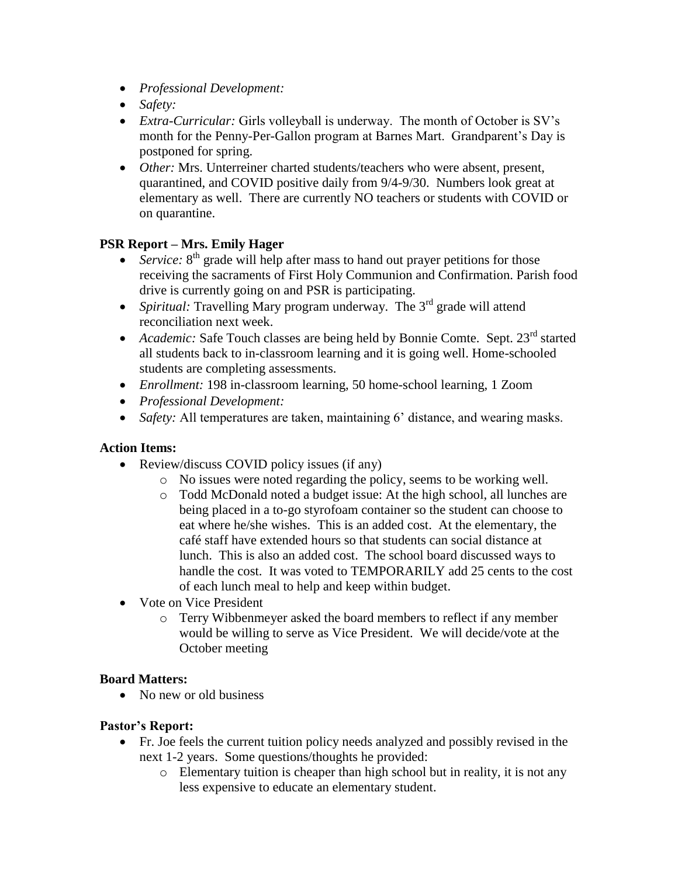- *Professional Development:*
- *Safety:*
- *Extra-Curricular:* Girls volleyball is underway. The month of October is SV's month for the Penny-Per-Gallon program at Barnes Mart. Grandparent's Day is postponed for spring.
- *Other:* Mrs. Unterreiner charted students/teachers who were absent, present, quarantined, and COVID positive daily from 9/4-9/30. Numbers look great at elementary as well. There are currently NO teachers or students with COVID or on quarantine.

# **PSR Report – Mrs. Emily Hager**

- *Service:* 8<sup>th</sup> grade will help after mass to hand out prayer petitions for those receiving the sacraments of First Holy Communion and Confirmation. Parish food drive is currently going on and PSR is participating.
- *Spiritual:* Travelling Mary program underway. The 3<sup>rd</sup> grade will attend reconciliation next week.
- Academic: Safe Touch classes are being held by Bonnie Comte. Sept. 23<sup>rd</sup> started all students back to in-classroom learning and it is going well. Home-schooled students are completing assessments.
- *Enrollment:* 198 in-classroom learning, 50 home-school learning, 1 Zoom
- *Professional Development:*
- *Safety:* All temperatures are taken, maintaining 6' distance, and wearing masks.

### **Action Items:**

- Review/discuss COVID policy issues (if any)
	- o No issues were noted regarding the policy, seems to be working well.
	- o Todd McDonald noted a budget issue: At the high school, all lunches are being placed in a to-go styrofoam container so the student can choose to eat where he/she wishes. This is an added cost. At the elementary, the café staff have extended hours so that students can social distance at lunch. This is also an added cost. The school board discussed ways to handle the cost. It was voted to TEMPORARILY add 25 cents to the cost of each lunch meal to help and keep within budget.
- Vote on Vice President
	- o Terry Wibbenmeyer asked the board members to reflect if any member would be willing to serve as Vice President. We will decide/vote at the October meeting

### **Board Matters:**

• No new or old business

### **Pastor's Report:**

- Fr. Joe feels the current tuition policy needs analyzed and possibly revised in the next 1-2 years. Some questions/thoughts he provided:
	- o Elementary tuition is cheaper than high school but in reality, it is not any less expensive to educate an elementary student.